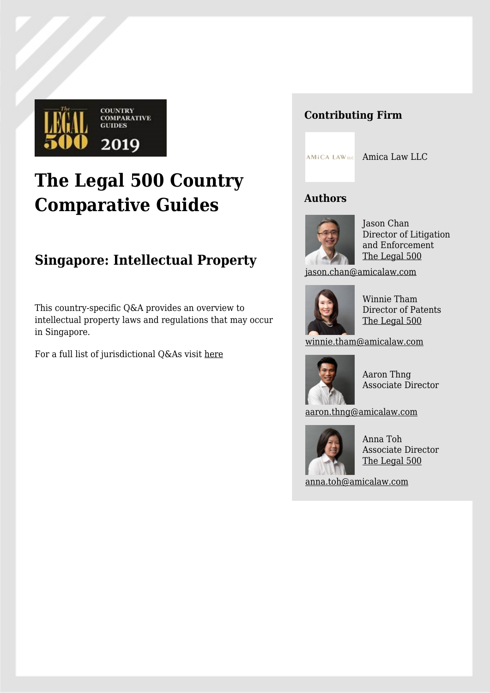

# **The Legal 500 Country Comparative Guides**

# **Singapore: Intellectual Property**

This country-specific Q&A provides an overview to intellectual property laws and regulations that may occur in Singapore.

For a full list of jurisdictional Q&As visit [here](https://www.legal500.com/guides/)

# **Contributing Firm**

**AMICA LAW LLC** Amica Law LLC

# **Authors**



Jason Chan Director of Litigation and Enforcement [The Legal 500](https://www.legal500.com/firms/32713-amica-law-llc/33772-singapore-singapore/lawyers/496075-jason-chan/)

[jason.chan@amicalaw.com](mailto:jason.chan@amicalaw.com)



Winnie Tham Director of Patents [The Legal 500](https://www.legal500.com/firms/32713-amica-law-llc/33772-singapore-singapore/lawyers/496063-winnie-tham/)

[winnie.tham@amicalaw.com](mailto:winnie.tham@amicalaw.com)



Aaron Thng Associate Director

[aaron.thng@amicalaw.com](mailto:aaron.thng@amicalaw.com)



Anna Toh Associate Director [The Legal 500](https://www.legal500.com/firms/32713-amica-law-llc/33772-singapore-singapore/lawyers/496072-anna-toh/)

[anna.toh@amicalaw.com](mailto:anna.toh@amicalaw.com)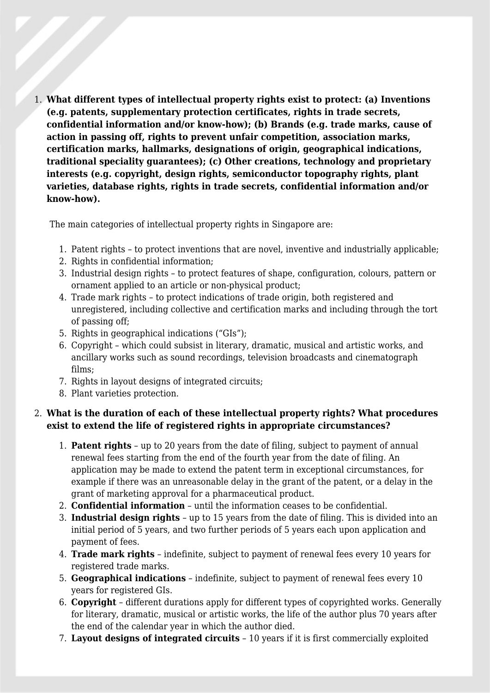1. **What different types of intellectual property rights exist to protect: (a) Inventions (e.g. patents, supplementary protection certificates, rights in trade secrets, confidential information and/or know-how); (b) Brands (e.g. trade marks, cause of action in passing off, rights to prevent unfair competition, association marks, certification marks, hallmarks, designations of origin, geographical indications, traditional speciality guarantees); (c) Other creations, technology and proprietary interests (e.g. copyright, design rights, semiconductor topography rights, plant varieties, database rights, rights in trade secrets, confidential information and/or know-how).**

The main categories of intellectual property rights in Singapore are:

- 1. Patent rights to protect inventions that are novel, inventive and industrially applicable;
- 2. Rights in confidential information;
- 3. Industrial design rights to protect features of shape, configuration, colours, pattern or ornament applied to an article or non-physical product;
- 4. Trade mark rights to protect indications of trade origin, both registered and unregistered, including collective and certification marks and including through the tort of passing off;
- 5. Rights in geographical indications ("GIs");
- 6. Copyright which could subsist in literary, dramatic, musical and artistic works, and ancillary works such as sound recordings, television broadcasts and cinematograph films;
- 7. Rights in layout designs of integrated circuits;
- 8. Plant varieties protection.

# 2. **What is the duration of each of these intellectual property rights? What procedures exist to extend the life of registered rights in appropriate circumstances?**

- 1. **Patent rights** up to 20 years from the date of filing, subject to payment of annual renewal fees starting from the end of the fourth year from the date of filing. An application may be made to extend the patent term in exceptional circumstances, for example if there was an unreasonable delay in the grant of the patent, or a delay in the grant of marketing approval for a pharmaceutical product.
- 2. **Confidential information** until the information ceases to be confidential.
- 3. **Industrial design rights** up to 15 years from the date of filing. This is divided into an initial period of 5 years, and two further periods of 5 years each upon application and payment of fees.
- 4. **Trade mark rights** indefinite, subject to payment of renewal fees every 10 years for registered trade marks.
- 5. **Geographical indications** indefinite, subject to payment of renewal fees every 10 years for registered GIs.
- 6. **Copyright** different durations apply for different types of copyrighted works. Generally for literary, dramatic, musical or artistic works, the life of the author plus 70 years after the end of the calendar year in which the author died.
- 7. **Layout designs of integrated circuits** 10 years if it is first commercially exploited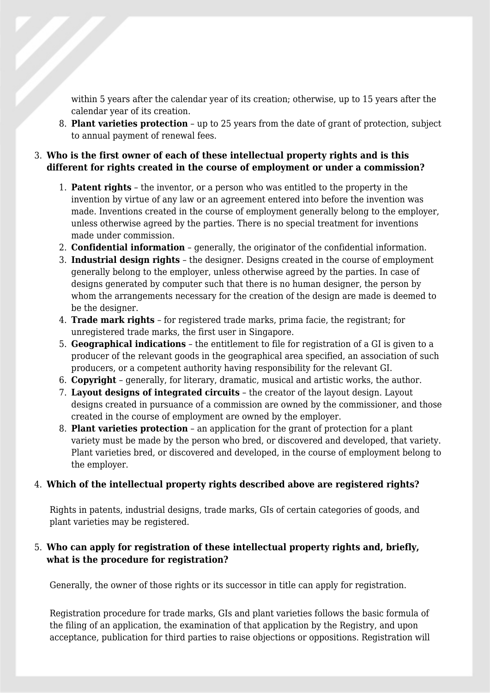within 5 years after the calendar year of its creation; otherwise, up to 15 years after the calendar year of its creation.

8. **Plant varieties protection** – up to 25 years from the date of grant of protection, subject to annual payment of renewal fees.

# 3. **Who is the first owner of each of these intellectual property rights and is this different for rights created in the course of employment or under a commission?**

- 1. **Patent rights** the inventor, or a person who was entitled to the property in the invention by virtue of any law or an agreement entered into before the invention was made. Inventions created in the course of employment generally belong to the employer, unless otherwise agreed by the parties. There is no special treatment for inventions made under commission.
- 2. **Confidential information** generally, the originator of the confidential information.
- 3. **Industrial design rights** the designer. Designs created in the course of employment generally belong to the employer, unless otherwise agreed by the parties. In case of designs generated by computer such that there is no human designer, the person by whom the arrangements necessary for the creation of the design are made is deemed to be the designer.
- 4. **Trade mark rights** for registered trade marks, prima facie, the registrant; for unregistered trade marks, the first user in Singapore.
- 5. **Geographical indications** the entitlement to file for registration of a GI is given to a producer of the relevant goods in the geographical area specified, an association of such producers, or a competent authority having responsibility for the relevant GI.
- 6. **Copyright** generally, for literary, dramatic, musical and artistic works, the author.
- 7. **Layout designs of integrated circuits** the creator of the layout design. Layout designs created in pursuance of a commission are owned by the commissioner, and those created in the course of employment are owned by the employer.
- 8. **Plant varieties protection** an application for the grant of protection for a plant variety must be made by the person who bred, or discovered and developed, that variety. Plant varieties bred, or discovered and developed, in the course of employment belong to the employer.

#### 4. **Which of the intellectual property rights described above are registered rights?**

Rights in patents, industrial designs, trade marks, GIs of certain categories of goods, and plant varieties may be registered.

#### 5. **Who can apply for registration of these intellectual property rights and, briefly, what is the procedure for registration?**

Generally, the owner of those rights or its successor in title can apply for registration.

Registration procedure for trade marks, GIs and plant varieties follows the basic formula of the filing of an application, the examination of that application by the Registry, and upon acceptance, publication for third parties to raise objections or oppositions. Registration will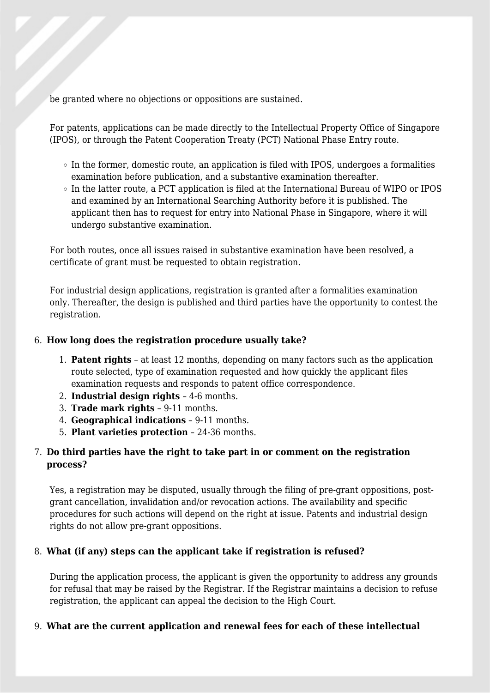be granted where no objections or oppositions are sustained.

For patents, applications can be made directly to the Intellectual Property Office of Singapore (IPOS), or through the Patent Cooperation Treaty (PCT) National Phase Entry route.

- $\circ$  In the former, domestic route, an application is filed with IPOS, undergoes a formalities examination before publication, and a substantive examination thereafter.
- $\circ$  In the latter route, a PCT application is filed at the International Bureau of WIPO or IPOS and examined by an International Searching Authority before it is published. The applicant then has to request for entry into National Phase in Singapore, where it will undergo substantive examination.

For both routes, once all issues raised in substantive examination have been resolved, a certificate of grant must be requested to obtain registration.

For industrial design applications, registration is granted after a formalities examination only. Thereafter, the design is published and third parties have the opportunity to contest the registration.

#### 6. **How long does the registration procedure usually take?**

- 1. **Patent rights** at least 12 months, depending on many factors such as the application route selected, type of examination requested and how quickly the applicant files examination requests and responds to patent office correspondence.
- 2. **Industrial design rights** 4-6 months.
- 3. **Trade mark rights** 9-11 months.
- 4. **Geographical indications** 9-11 months.
- 5. **Plant varieties protection** 24-36 months.

#### 7. **Do third parties have the right to take part in or comment on the registration process?**

Yes, a registration may be disputed, usually through the filing of pre-grant oppositions, postgrant cancellation, invalidation and/or revocation actions. The availability and specific procedures for such actions will depend on the right at issue. Patents and industrial design rights do not allow pre-grant oppositions.

#### 8. **What (if any) steps can the applicant take if registration is refused?**

During the application process, the applicant is given the opportunity to address any grounds for refusal that may be raised by the Registrar. If the Registrar maintains a decision to refuse registration, the applicant can appeal the decision to the High Court.

#### 9. **What are the current application and renewal fees for each of these intellectual**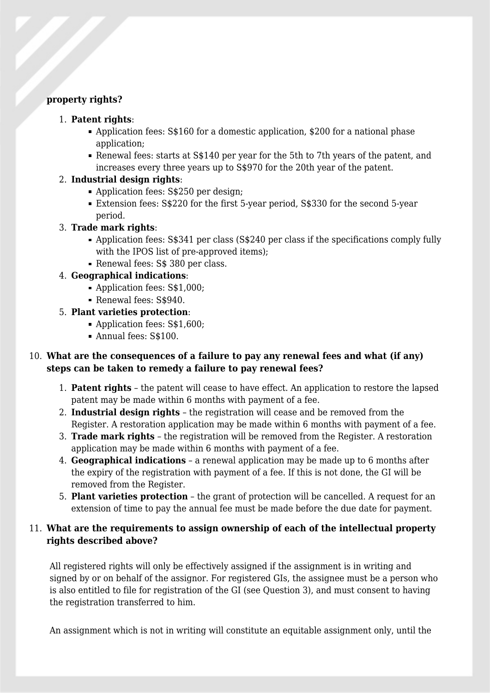#### **property rights?**

#### 1. **Patent rights**:

- Application fees: S\$160 for a domestic application, \$200 for a national phase application;
- Renewal fees: starts at S\$140 per year for the 5th to 7th years of the patent, and increases every three years up to S\$970 for the 20th year of the patent.

#### 2. **Industrial design rights**:

- Application fees: S\$250 per design;
- Extension fees: S\$220 for the first 5-year period, S\$330 for the second 5-year period.

#### 3. **Trade mark rights**:

- Application fees: S\$341 per class (S\$240 per class if the specifications comply fully with the IPOS list of pre-approved items);
- Renewal fees: S\$ 380 per class.

#### 4. **Geographical indications**:

- Application fees: S\$1,000;
- Renewal fees: S\$940.

# 5. **Plant varieties protection**:

- Application fees: S\$1,600;
- Annual fees: S\$100.

# 10. **What are the consequences of a failure to pay any renewal fees and what (if any) steps can be taken to remedy a failure to pay renewal fees?**

- 1. **Patent rights** the patent will cease to have effect. An application to restore the lapsed patent may be made within 6 months with payment of a fee.
- 2. **Industrial design rights** the registration will cease and be removed from the Register. A restoration application may be made within 6 months with payment of a fee.
- 3. **Trade mark rights** the registration will be removed from the Register. A restoration application may be made within 6 months with payment of a fee.
- 4. **Geographical indications** a renewal application may be made up to 6 months after the expiry of the registration with payment of a fee. If this is not done, the GI will be removed from the Register.
- 5. **Plant varieties protection** the grant of protection will be cancelled. A request for an extension of time to pay the annual fee must be made before the due date for payment.

# 11. **What are the requirements to assign ownership of each of the intellectual property rights described above?**

All registered rights will only be effectively assigned if the assignment is in writing and signed by or on behalf of the assignor. For registered GIs, the assignee must be a person who is also entitled to file for registration of the GI (see Question 3), and must consent to having the registration transferred to him.

An assignment which is not in writing will constitute an equitable assignment only, until the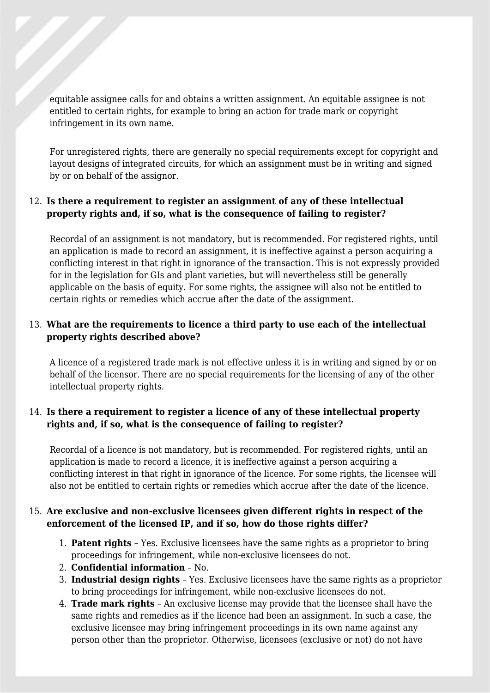equitable assignee calls for and obtains a written assignment. An equitable assignee is not entitled to certain rights, for example to bring an action for trade mark or copyright infringement in its own name.

For unregistered rights, there are generally no special requirements except for copyright and layout designs of integrated circuits, for which an assignment must be in writing and signed by or on behalf of the assignor.

#### 12. **Is there a requirement to register an assignment of any of these intellectual property rights and, if so, what is the consequence of failing to register?**

Recordal of an assignment is not mandatory, but is recommended. For registered rights, until an application is made to record an assignment, it is ineffective against a person acquiring a conflicting interest in that right in ignorance of the transaction. This is not expressly provided for in the legislation for GIs and plant varieties, but will nevertheless still be generally applicable on the basis of equity. For some rights, the assignee will also not be entitled to certain rights or remedies which accrue after the date of the assignment.

# 13. **What are the requirements to licence a third party to use each of the intellectual property rights described above?**

A licence of a registered trade mark is not effective unless it is in writing and signed by or on behalf of the licensor. There are no special requirements for the licensing of any of the other intellectual property rights.

#### 14. **Is there a requirement to register a licence of any of these intellectual property rights and, if so, what is the consequence of failing to register?**

Recordal of a licence is not mandatory, but is recommended. For registered rights, until an application is made to record a licence, it is ineffective against a person acquiring a conflicting interest in that right in ignorance of the licence. For some rights, the licensee will also not be entitled to certain rights or remedies which accrue after the date of the licence.

#### 15. **Are exclusive and non-exclusive licensees given different rights in respect of the enforcement of the licensed IP, and if so, how do those rights differ?**

- 1. **Patent rights**  Yes. Exclusive licensees have the same rights as a proprietor to bring proceedings for infringement, while non-exclusive licensees do not.
- 2. **Confidential information** No.
- 3. **Industrial design rights** Yes. Exclusive licensees have the same rights as a proprietor to bring proceedings for infringement, while non-exclusive licensees do not.
- 4. **Trade mark rights** An exclusive license may provide that the licensee shall have the same rights and remedies as if the licence had been an assignment. In such a case, the exclusive licensee may bring infringement proceedings in its own name against any person other than the proprietor. Otherwise, licensees (exclusive or not) do not have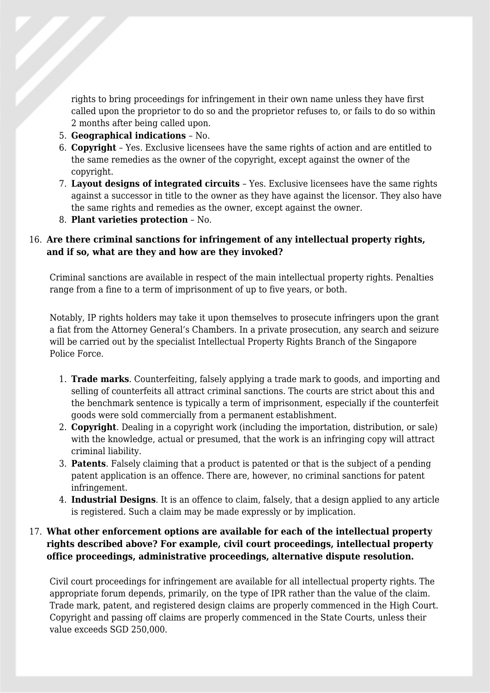rights to bring proceedings for infringement in their own name unless they have first called upon the proprietor to do so and the proprietor refuses to, or fails to do so within 2 months after being called upon.

- 5. **Geographical indications**  No.
- 6. **Copyright** Yes. Exclusive licensees have the same rights of action and are entitled to the same remedies as the owner of the copyright, except against the owner of the copyright.
- 7. **Layout designs of integrated circuits**  Yes. Exclusive licensees have the same rights against a successor in title to the owner as they have against the licensor. They also have the same rights and remedies as the owner, except against the owner.
- 8. **Plant varieties protection** No.

#### 16. **Are there criminal sanctions for infringement of any intellectual property rights, and if so, what are they and how are they invoked?**

Criminal sanctions are available in respect of the main intellectual property rights. Penalties range from a fine to a term of imprisonment of up to five years, or both.

Notably, IP rights holders may take it upon themselves to prosecute infringers upon the grant a fiat from the Attorney General's Chambers. In a private prosecution, any search and seizure will be carried out by the specialist Intellectual Property Rights Branch of the Singapore Police Force.

- 1. **Trade marks**. Counterfeiting, falsely applying a trade mark to goods, and importing and selling of counterfeits all attract criminal sanctions. The courts are strict about this and the benchmark sentence is typically a term of imprisonment, especially if the counterfeit goods were sold commercially from a permanent establishment.
- 2. **Copyright**. Dealing in a copyright work (including the importation, distribution, or sale) with the knowledge, actual or presumed, that the work is an infringing copy will attract criminal liability.
- 3. **Patents**. Falsely claiming that a product is patented or that is the subject of a pending patent application is an offence. There are, however, no criminal sanctions for patent infringement.
- 4. **Industrial Designs**. It is an offence to claim, falsely, that a design applied to any article is registered. Such a claim may be made expressly or by implication.

# 17. **What other enforcement options are available for each of the intellectual property rights described above? For example, civil court proceedings, intellectual property office proceedings, administrative proceedings, alternative dispute resolution.**

Civil court proceedings for infringement are available for all intellectual property rights. The appropriate forum depends, primarily, on the type of IPR rather than the value of the claim. Trade mark, patent, and registered design claims are properly commenced in the High Court. Copyright and passing off claims are properly commenced in the State Courts, unless their value exceeds SGD 250,000.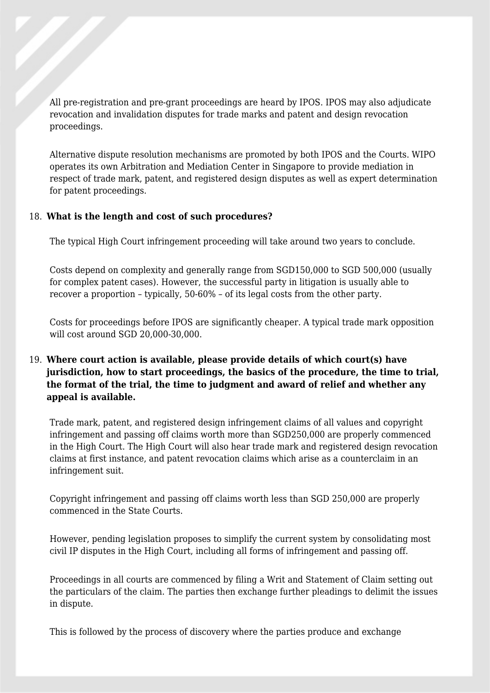All pre-registration and pre-grant proceedings are heard by IPOS. IPOS may also adjudicate revocation and invalidation disputes for trade marks and patent and design revocation proceedings.

Alternative dispute resolution mechanisms are promoted by both IPOS and the Courts. WIPO operates its own Arbitration and Mediation Center in Singapore to provide mediation in respect of trade mark, patent, and registered design disputes as well as expert determination for patent proceedings.

#### 18. **What is the length and cost of such procedures?**

The typical High Court infringement proceeding will take around two years to conclude.

Costs depend on complexity and generally range from SGD150,000 to SGD 500,000 (usually for complex patent cases). However, the successful party in litigation is usually able to recover a proportion – typically, 50-60% – of its legal costs from the other party.

Costs for proceedings before IPOS are significantly cheaper. A typical trade mark opposition will cost around SGD 20,000-30,000.

# 19. **Where court action is available, please provide details of which court(s) have jurisdiction, how to start proceedings, the basics of the procedure, the time to trial, the format of the trial, the time to judgment and award of relief and whether any appeal is available.**

Trade mark, patent, and registered design infringement claims of all values and copyright infringement and passing off claims worth more than SGD250,000 are properly commenced in the High Court. The High Court will also hear trade mark and registered design revocation claims at first instance, and patent revocation claims which arise as a counterclaim in an infringement suit.

Copyright infringement and passing off claims worth less than SGD 250,000 are properly commenced in the State Courts.

However, pending legislation proposes to simplify the current system by consolidating most civil IP disputes in the High Court, including all forms of infringement and passing off.

Proceedings in all courts are commenced by filing a Writ and Statement of Claim setting out the particulars of the claim. The parties then exchange further pleadings to delimit the issues in dispute.

This is followed by the process of discovery where the parties produce and exchange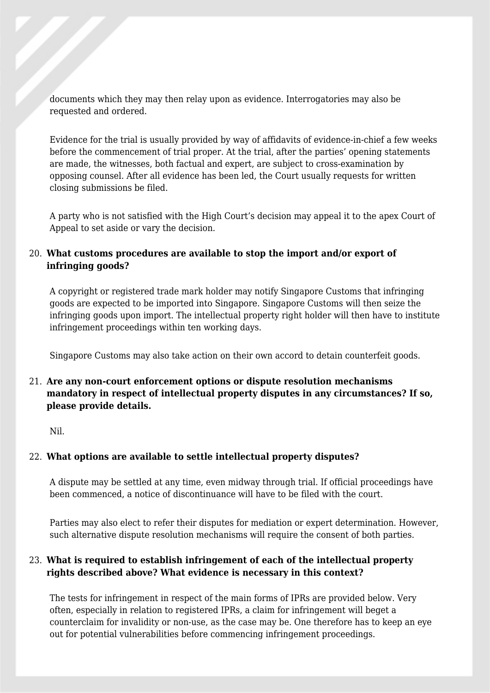documents which they may then relay upon as evidence. Interrogatories may also be requested and ordered.

Evidence for the trial is usually provided by way of affidavits of evidence-in-chief a few weeks before the commencement of trial proper. At the trial, after the parties' opening statements are made, the witnesses, both factual and expert, are subject to cross-examination by opposing counsel. After all evidence has been led, the Court usually requests for written closing submissions be filed.

A party who is not satisfied with the High Court's decision may appeal it to the apex Court of Appeal to set aside or vary the decision.

# 20. **What customs procedures are available to stop the import and/or export of infringing goods?**

A copyright or registered trade mark holder may notify Singapore Customs that infringing goods are expected to be imported into Singapore. Singapore Customs will then seize the infringing goods upon import. The intellectual property right holder will then have to institute infringement proceedings within ten working days.

Singapore Customs may also take action on their own accord to detain counterfeit goods.

# 21. **Are any non-court enforcement options or dispute resolution mechanisms mandatory in respect of intellectual property disputes in any circumstances? If so, please provide details.**

Nil.

# 22. **What options are available to settle intellectual property disputes?**

A dispute may be settled at any time, even midway through trial. If official proceedings have been commenced, a notice of discontinuance will have to be filed with the court.

Parties may also elect to refer their disputes for mediation or expert determination. However, such alternative dispute resolution mechanisms will require the consent of both parties.

# 23. **What is required to establish infringement of each of the intellectual property rights described above? What evidence is necessary in this context?**

The tests for infringement in respect of the main forms of IPRs are provided below. Very often, especially in relation to registered IPRs, a claim for infringement will beget a counterclaim for invalidity or non-use, as the case may be. One therefore has to keep an eye out for potential vulnerabilities before commencing infringement proceedings.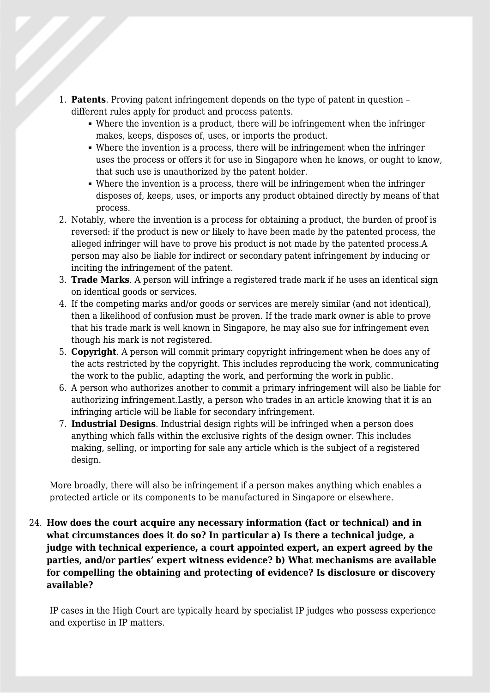- 1. **Patents**. Proving patent infringement depends on the type of patent in question different rules apply for product and process patents.
	- Where the invention is a product, there will be infringement when the infringer makes, keeps, disposes of, uses, or imports the product.
	- Where the invention is a process, there will be infringement when the infringer uses the process or offers it for use in Singapore when he knows, or ought to know, that such use is unauthorized by the patent holder.
	- Where the invention is a process, there will be infringement when the infringer disposes of, keeps, uses, or imports any product obtained directly by means of that process.
- 2. Notably, where the invention is a process for obtaining a product, the burden of proof is reversed: if the product is new or likely to have been made by the patented process, the alleged infringer will have to prove his product is not made by the patented process.A person may also be liable for indirect or secondary patent infringement by inducing or inciting the infringement of the patent.
- 3. **Trade Marks**. A person will infringe a registered trade mark if he uses an identical sign on identical goods or services.
- 4. If the competing marks and/or goods or services are merely similar (and not identical), then a likelihood of confusion must be proven. If the trade mark owner is able to prove that his trade mark is well known in Singapore, he may also sue for infringement even though his mark is not registered.
- 5. **Copyright**. A person will commit primary copyright infringement when he does any of the acts restricted by the copyright. This includes reproducing the work, communicating the work to the public, adapting the work, and performing the work in public.
- 6. A person who authorizes another to commit a primary infringement will also be liable for authorizing infringement.Lastly, a person who trades in an article knowing that it is an infringing article will be liable for secondary infringement.
- 7. **Industrial Designs**. Industrial design rights will be infringed when a person does anything which falls within the exclusive rights of the design owner. This includes making, selling, or importing for sale any article which is the subject of a registered design.

More broadly, there will also be infringement if a person makes anything which enables a protected article or its components to be manufactured in Singapore or elsewhere.

24. **How does the court acquire any necessary information (fact or technical) and in what circumstances does it do so? In particular a) Is there a technical judge, a judge with technical experience, a court appointed expert, an expert agreed by the parties, and/or parties' expert witness evidence? b) What mechanisms are available for compelling the obtaining and protecting of evidence? Is disclosure or discovery available?**

IP cases in the High Court are typically heard by specialist IP judges who possess experience and expertise in IP matters.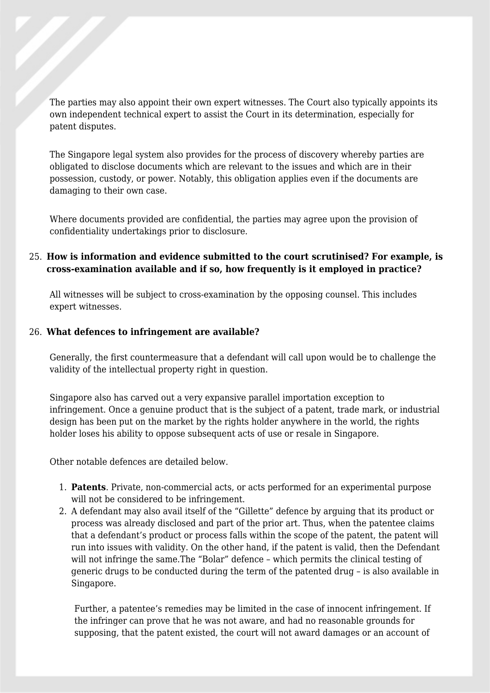The parties may also appoint their own expert witnesses. The Court also typically appoints its own independent technical expert to assist the Court in its determination, especially for patent disputes.

The Singapore legal system also provides for the process of discovery whereby parties are obligated to disclose documents which are relevant to the issues and which are in their possession, custody, or power. Notably, this obligation applies even if the documents are damaging to their own case.

Where documents provided are confidential, the parties may agree upon the provision of confidentiality undertakings prior to disclosure.

#### 25. **How is information and evidence submitted to the court scrutinised? For example, is cross-examination available and if so, how frequently is it employed in practice?**

All witnesses will be subject to cross-examination by the opposing counsel. This includes expert witnesses.

#### 26. **What defences to infringement are available?**

Generally, the first countermeasure that a defendant will call upon would be to challenge the validity of the intellectual property right in question.

Singapore also has carved out a very expansive parallel importation exception to infringement. Once a genuine product that is the subject of a patent, trade mark, or industrial design has been put on the market by the rights holder anywhere in the world, the rights holder loses his ability to oppose subsequent acts of use or resale in Singapore.

Other notable defences are detailed below.

- 1. **Patents**. Private, non-commercial acts, or acts performed for an experimental purpose will not be considered to be infringement.
- 2. A defendant may also avail itself of the "Gillette" defence by arguing that its product or process was already disclosed and part of the prior art. Thus, when the patentee claims that a defendant's product or process falls within the scope of the patent, the patent will run into issues with validity. On the other hand, if the patent is valid, then the Defendant will not infringe the same.The "Bolar" defence – which permits the clinical testing of generic drugs to be conducted during the term of the patented drug – is also available in Singapore.

Further, a patentee's remedies may be limited in the case of innocent infringement. If the infringer can prove that he was not aware, and had no reasonable grounds for supposing, that the patent existed, the court will not award damages or an account of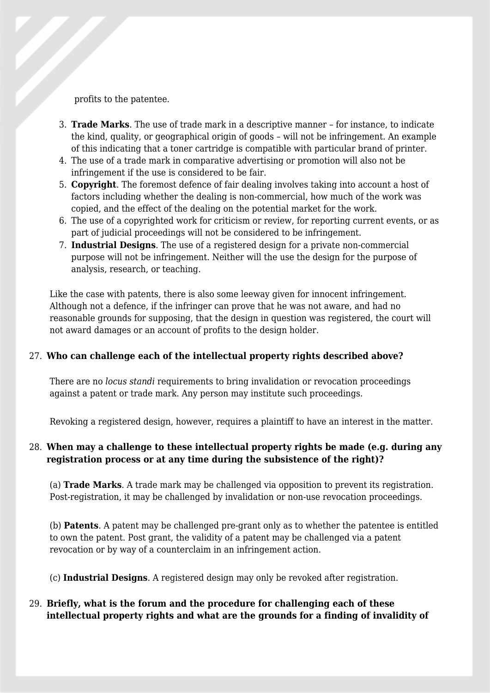profits to the patentee.

- 3. **Trade Marks**. The use of trade mark in a descriptive manner for instance, to indicate the kind, quality, or geographical origin of goods – will not be infringement. An example of this indicating that a toner cartridge is compatible with particular brand of printer.
- 4. The use of a trade mark in comparative advertising or promotion will also not be infringement if the use is considered to be fair.
- 5. **Copyright**. The foremost defence of fair dealing involves taking into account a host of factors including whether the dealing is non-commercial, how much of the work was copied, and the effect of the dealing on the potential market for the work.
- 6. The use of a copyrighted work for criticism or review, for reporting current events, or as part of judicial proceedings will not be considered to be infringement.
- 7. **Industrial Designs**. The use of a registered design for a private non-commercial purpose will not be infringement. Neither will the use the design for the purpose of analysis, research, or teaching.

Like the case with patents, there is also some leeway given for innocent infringement. Although not a defence, if the infringer can prove that he was not aware, and had no reasonable grounds for supposing, that the design in question was registered, the court will not award damages or an account of profits to the design holder.

# 27. **Who can challenge each of the intellectual property rights described above?**

There are no *locus standi* requirements to bring invalidation or revocation proceedings against a patent or trade mark. Any person may institute such proceedings.

Revoking a registered design, however, requires a plaintiff to have an interest in the matter.

#### 28. **When may a challenge to these intellectual property rights be made (e.g. during any registration process or at any time during the subsistence of the right)?**

(a) **Trade Marks**. A trade mark may be challenged via opposition to prevent its registration. Post-registration, it may be challenged by invalidation or non-use revocation proceedings.

(b) **Patents**. A patent may be challenged pre-grant only as to whether the patentee is entitled to own the patent. Post grant, the validity of a patent may be challenged via a patent revocation or by way of a counterclaim in an infringement action.

(c) **Industrial Designs**. A registered design may only be revoked after registration.

# 29. **Briefly, what is the forum and the procedure for challenging each of these intellectual property rights and what are the grounds for a finding of invalidity of**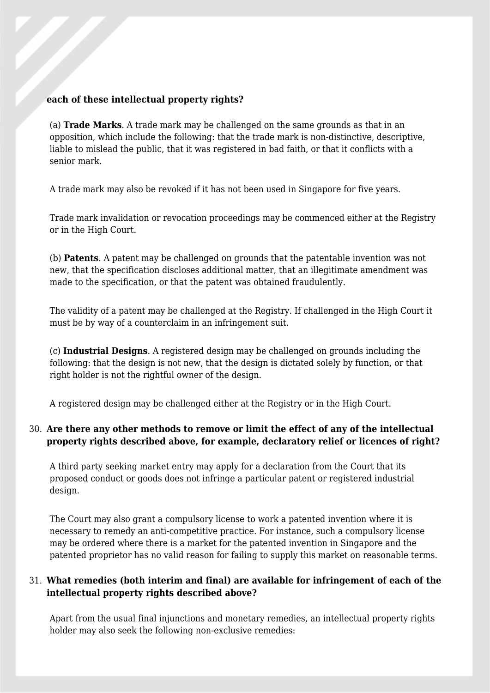#### **each of these intellectual property rights?**

(a) **Trade Marks**. A trade mark may be challenged on the same grounds as that in an opposition, which include the following: that the trade mark is non-distinctive, descriptive, liable to mislead the public, that it was registered in bad faith, or that it conflicts with a senior mark.

A trade mark may also be revoked if it has not been used in Singapore for five years.

Trade mark invalidation or revocation proceedings may be commenced either at the Registry or in the High Court.

(b) **Patents**. A patent may be challenged on grounds that the patentable invention was not new, that the specification discloses additional matter, that an illegitimate amendment was made to the specification, or that the patent was obtained fraudulently.

The validity of a patent may be challenged at the Registry. If challenged in the High Court it must be by way of a counterclaim in an infringement suit.

(c) **Industrial Designs**. A registered design may be challenged on grounds including the following: that the design is not new, that the design is dictated solely by function, or that right holder is not the rightful owner of the design.

A registered design may be challenged either at the Registry or in the High Court.

#### 30. **Are there any other methods to remove or limit the effect of any of the intellectual property rights described above, for example, declaratory relief or licences of right?**

A third party seeking market entry may apply for a declaration from the Court that its proposed conduct or goods does not infringe a particular patent or registered industrial design.

The Court may also grant a compulsory license to work a patented invention where it is necessary to remedy an anti-competitive practice. For instance, such a compulsory license may be ordered where there is a market for the patented invention in Singapore and the patented proprietor has no valid reason for failing to supply this market on reasonable terms.

#### 31. **What remedies (both interim and final) are available for infringement of each of the intellectual property rights described above?**

Apart from the usual final injunctions and monetary remedies, an intellectual property rights holder may also seek the following non-exclusive remedies: